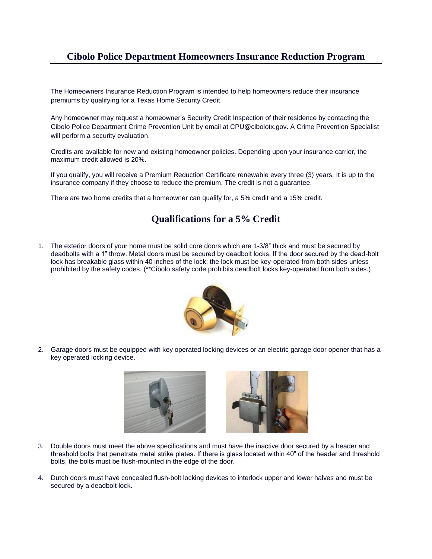## **Cibolo Police Department Homeowners Insurance Reduction Program**

The Homeowners Insurance Reduction Program is intended to help homeowners reduce their insurance premiums by qualifying for a Texas Home Security Credit.

Any homeowner may request a homeowner's Security Credit Inspection of their residence by contacting the Cibolo Police Department Crime Prevention Unit by email at CPU@cibolotx.gov. A Crime Prevention Specialist will perform a security evaluation.

Credits are available for new and existing homeowner policies. Depending upon your insurance carrier, the maximum credit allowed is 20%.

If you qualify, you will receive a Premium Reduction Certificate renewable every three (3) years. It is up to the insurance company if they choose to reduce the premium. The credit is not a guarantee.

There are two home credits that a homeowner can qualify for, a 5% credit and a 15% credit.

## **Qualifications for a 5% Credit**

1. The exterior doors of your home must be solid core doors which are 1-3/8" thick and must be secured by deadbolts with a 1" throw. Metal doors must be secured by deadbolt locks. If the door secured by the dead-bolt lock has breakable glass within 40 inches of the lock, the lock must be key-operated from both sides unless prohibited by the safety codes. (\*\*Cibolo safety code prohibits deadbolt locks key-operated from both sides.)



2. Garage doors must be equipped with key operated locking devices or an electric garage door opener that has a key operated locking device.





- 3. Double doors must meet the above specifications and must have the inactive door secured by a header and threshold bolts that penetrate metal strike plates. If there is glass located within 40" of the header and threshold bolts, the bolts must be flush-mounted in the edge of the door.
- 4. Dutch doors must have concealed flush-bolt locking devices to interlock upper and lower halves and must be secured by a deadbolt lock.